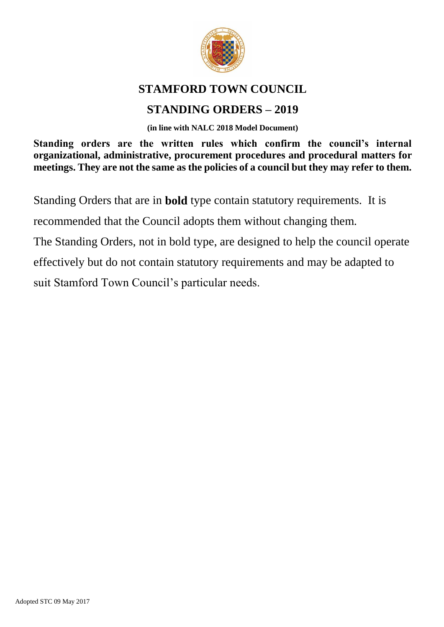

#### **STAMFORD TOWN COUNCIL**

### **STANDING ORDERS – 2019**

**(in line with NALC 2018 Model Document)**

**Standing orders are the written rules which confirm the council's internal organizational, administrative, procurement procedures and procedural matters for meetings. They are not the same as the policies of a council but they may refer to them.**

Standing Orders that are in **bold** type contain statutory requirements. It is

recommended that the Council adopts them without changing them.

The Standing Orders, not in bold type, are designed to help the council operate

effectively but do not contain statutory requirements and may be adapted to

suit Stamford Town Council's particular needs.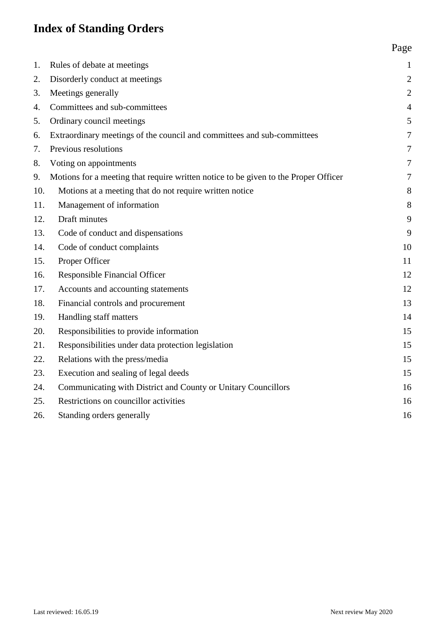## **Index of Standing Orders**

| 1.  | Rules of debate at meetings                                                         | $\mathbf{1}$   |
|-----|-------------------------------------------------------------------------------------|----------------|
| 2.  | Disorderly conduct at meetings                                                      | $\overline{c}$ |
| 3.  | Meetings generally                                                                  | $\overline{c}$ |
| 4.  | Committees and sub-committees                                                       | $\overline{4}$ |
| 5.  | Ordinary council meetings                                                           | 5              |
| 6.  | Extraordinary meetings of the council and committees and sub-committees             | 7              |
| 7.  | Previous resolutions                                                                | 7              |
| 8.  | Voting on appointments                                                              | 7              |
| 9.  | Motions for a meeting that require written notice to be given to the Proper Officer | 7              |
| 10. | Motions at a meeting that do not require written notice                             | 8              |
| 11. | Management of information                                                           | 8              |
| 12. | Draft minutes                                                                       | 9              |
| 13. | Code of conduct and dispensations                                                   | 9              |
| 14. | Code of conduct complaints                                                          | 10             |
| 15. | Proper Officer                                                                      | 11             |
| 16. | <b>Responsible Financial Officer</b>                                                | 12             |
| 17. | Accounts and accounting statements                                                  | 12             |
| 18. | Financial controls and procurement                                                  | 13             |
| 19. | Handling staff matters                                                              | 14             |
| 20. | Responsibilities to provide information                                             | 15             |
| 21. | Responsibilities under data protection legislation                                  | 15             |
| 22. | Relations with the press/media                                                      | 15             |
| 23. | Execution and sealing of legal deeds                                                | 15             |
| 24. | Communicating with District and County or Unitary Councillors                       | 16             |
| 25. | Restrictions on councillor activities                                               | 16             |
| 26. | Standing orders generally                                                           | 16             |
|     |                                                                                     |                |

Page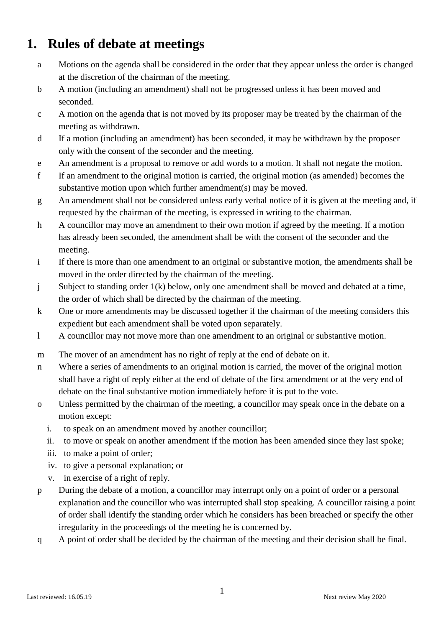### <span id="page-2-0"></span>**1. Rules of debate at meetings**

- a Motions on the agenda shall be considered in the order that they appear unless the order is changed at the discretion of the chairman of the meeting.
- b A motion (including an amendment) shall not be progressed unless it has been moved and seconded.
- c A motion on the agenda that is not moved by its proposer may be treated by the chairman of the meeting as withdrawn.
- d If a motion (including an amendment) has been seconded, it may be withdrawn by the proposer only with the consent of the seconder and the meeting.
- e An amendment is a proposal to remove or add words to a motion. It shall not negate the motion.
- f If an amendment to the original motion is carried, the original motion (as amended) becomes the substantive motion upon which further amendment(s) may be moved.
- g An amendment shall not be considered unless early verbal notice of it is given at the meeting and, if requested by the chairman of the meeting, is expressed in writing to the chairman.
- h A councillor may move an amendment to their own motion if agreed by the meeting. If a motion has already been seconded, the amendment shall be with the consent of the seconder and the meeting.
- i If there is more than one amendment to an original or substantive motion, the amendments shall be moved in the order directed by the chairman of the meeting.
- j Subject to standing order 1(k) below, only one amendment shall be moved and debated at a time, the order of which shall be directed by the chairman of the meeting.
- k One or more amendments may be discussed together if the chairman of the meeting considers this expedient but each amendment shall be voted upon separately.
- l A councillor may not move more than one amendment to an original or substantive motion.
- m The mover of an amendment has no right of reply at the end of debate on it.
- n Where a series of amendments to an original motion is carried, the mover of the original motion shall have a right of reply either at the end of debate of the first amendment or at the very end of debate on the final substantive motion immediately before it is put to the vote.
- o Unless permitted by the chairman of the meeting, a councillor may speak once in the debate on a motion except:
	- i. to speak on an amendment moved by another councillor;
	- ii. to move or speak on another amendment if the motion has been amended since they last spoke;
	- iii. to make a point of order;
	- iv. to give a personal explanation; or
	- v. in exercise of a right of reply.
- p During the debate of a motion, a councillor may interrupt only on a point of order or a personal explanation and the councillor who was interrupted shall stop speaking. A councillor raising a point of order shall identify the standing order which he considers has been breached or specify the other irregularity in the proceedings of the meeting he is concerned by.
- q A point of order shall be decided by the chairman of the meeting and their decision shall be final.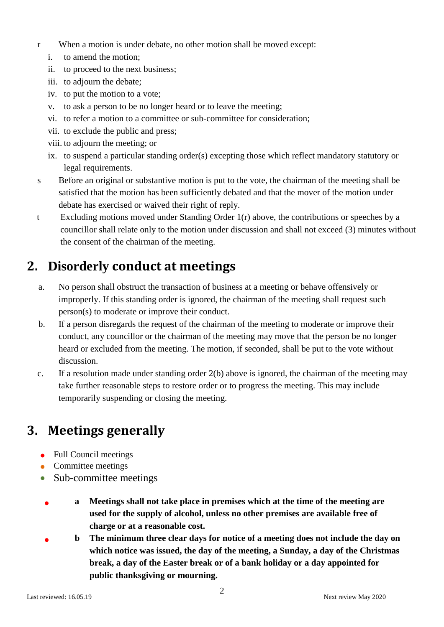- r When a motion is under debate, no other motion shall be moved except:
	- i. to amend the motion;
	- ii. to proceed to the next business;
	- iii. to adjourn the debate;
	- iv. to put the motion to a vote;
	- v. to ask a person to be no longer heard or to leave the meeting;
	- vi. to refer a motion to a committee or sub-committee for consideration;
	- vii. to exclude the public and press;
	- viii. to adjourn the meeting; or
	- ix. to suspend a particular standing order(s) excepting those which reflect mandatory statutory or legal requirements.
- s Before an original or substantive motion is put to the vote, the chairman of the meeting shall be satisfied that the motion has been sufficiently debated and that the mover of the motion under debate has exercised or waived their right of reply.
- t Excluding motions moved under Standing Order  $1(r)$  above, the contributions or speeches by a councillor shall relate only to the motion under discussion and shall not exceed (3) minutes without the consent of the chairman of the meeting.

### <span id="page-3-0"></span>**2. Disorderly conduct at meetings**

- a. No person shall obstruct the transaction of business at a meeting or behave offensively or improperly. If this standing order is ignored, the chairman of the meeting shall request such person(s) to moderate or improve their conduct.
- b. If a person disregards the request of the chairman of the meeting to moderate or improve their conduct, any councillor or the chairman of the meeting may move that the person be no longer heard or excluded from the meeting. The motion, if seconded, shall be put to the vote without discussion.
- c. If a resolution made under standing order 2(b) above is ignored, the chairman of the meeting may take further reasonable steps to restore order or to progress the meeting. This may include temporarily suspending or closing the meeting.

# <span id="page-3-1"></span>**3. Meetings generally**

- Full Council meetings
- Committee meetings
- Sub-committee meetings
	- **a Meetings shall not take place in premises which at the time of the meeting are used for the supply of alcohol, unless no other premises are available free of charge or at a reasonable cost.**
	- **b The minimum three clear days for notice of a meeting does not include the day on which notice was issued, the day of the meeting, a Sunday, a day of the Christmas break, a day of the Easter break or of a bank holiday or a day appointed for public thanksgiving or mourning.**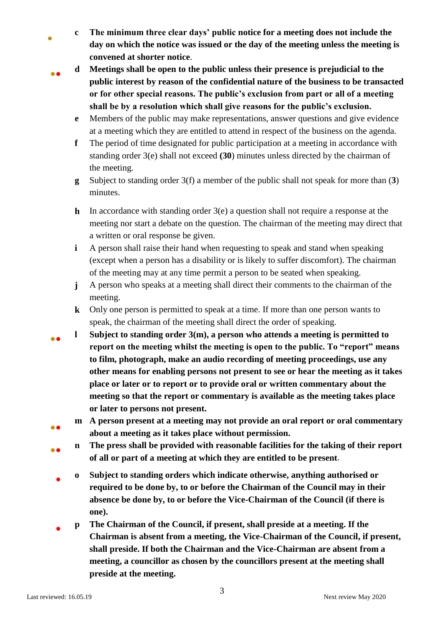- **c The minimum three clear days' public notice for a meeting does not include the day on which the notice was issued or the day of the meeting unless the meeting is convened at shorter notice**.
- ●●

•

- **d Meetings shall be open to the public unless their presence is prejudicial to the public interest by reason of the confidential nature of the business to be transacted or for other special reasons. The public's exclusion from part or all of a meeting shall be by a resolution which shall give reasons for the public's exclusion.**
- **e** Members of the public may make representations, answer questions and give evidence at a meeting which they are entitled to attend in respect of the business on the agenda.
- **f** The period of time designated for public participation at a meeting in accordance with standing order 3(e) shall not exceed **(30**) minutes unless directed by the chairman of the meeting.
- **g** Subject to standing order 3(f) a member of the public shall not speak for more than (**3**) minutes.
- **h** In accordance with standing order 3(e) a question shall not require a response at the meeting nor start a debate on the question. The chairman of the meeting may direct that a written or oral response be given.
- **i** A person shall raise their hand when requesting to speak and stand when speaking (except when a person has a disability or is likely to suffer discomfort). The chairman of the meeting may at any time permit a person to be seated when speaking.
- **j** A person who speaks at a meeting shall direct their comments to the chairman of the meeting.
- **k** Only one person is permitted to speak at a time. If more than one person wants to speak, the chairman of the meeting shall direct the order of speaking.
- ●● **l Subject to standing order 3(m), a person who attends a meeting is permitted to report on the meeting whilst the meeting is open to the public. To "report" means to film, photograph, make an audio recording of meeting proceedings, use any other means for enabling persons not present to see or hear the meeting as it takes place or later or to report or to provide oral or written commentary about the meeting so that the report or commentary is available as the meeting takes place or later to persons not present.**
	- **m A person present at a meeting may not provide an oral report or oral commentary about a meeting as it takes place without permission.**
- ●● **n The press shall be provided with reasonable facilities for the taking of their report of all or part of a meeting at which they are entitled to be present**.
	- **o Subject to standing orders which indicate otherwise, anything authorised or required to be done by, to or before the Chairman of the Council may in their absence be done by, to or before the Vice-Chairman of the Council (if there is one).**
	- **p The Chairman of the Council, if present, shall preside at a meeting. If the Chairman is absent from a meeting, the Vice-Chairman of the Council, if present, shall preside. If both the Chairman and the Vice-Chairman are absent from a meeting, a councillor as chosen by the councillors present at the meeting shall preside at the meeting.**

●●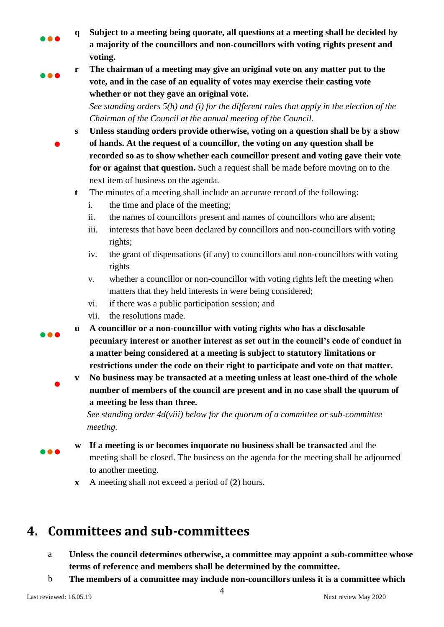- **q Subject to a meeting being quorate, all questions at a meeting shall be decided by a majority of the councillors and non-councillors with voting rights present and voting.**
- ●●●

●

●●●

●

●●●

●●●

**r The chairman of a meeting may give an original vote on any matter put to the vote, and in the case of an equality of votes may exercise their casting vote whether or not they gave an original vote.**

*See standing orders 5(h) and (i) for the different rules that apply in the election of the Chairman of the Council at the annual meeting of the Council.*

- **s Unless standing orders provide otherwise, voting on a question shall be by a show of hands. At the request of a councillor, the voting on any question shall be recorded so as to show whether each councillor present and voting gave their vote for or against that question.** Such a request shall be made before moving on to the next item of business on the agenda.
	- **t** The minutes of a meeting shall include an accurate record of the following:
		- i. the time and place of the meeting;
		- ii. the names of councillors present and names of councillors who are absent;
		- iii. interests that have been declared by councillors and non-councillors with voting rights;
		- iv. the grant of dispensations (if any) to councillors and non-councillors with voting rights
		- v. whether a councillor or non-councillor with voting rights left the meeting when matters that they held interests in were being considered;
		- vi. if there was a public participation session; and
		- vii. the resolutions made.
	- **u A councillor or a non-councillor with voting rights who has a disclosable pecuniary interest or another interest as set out in the council's code of conduct in a matter being considered at a meeting is subject to statutory limitations or restrictions under the code on their right to participate and vote on that matter.**
- **v No business may be transacted at a meeting unless at least one-third of the whole number of members of the council are present and in no case shall the quorum of a meeting be less than three.**

*See standing order 4d(viii) below for the quorum of a committee or sub-committee meeting.* 

- **w If a meeting is or becomes inquorate no business shall be transacted** and the meeting shall be closed. The business on the agenda for the meeting shall be adjourned to another meeting.
- **x** A meeting shall not exceed a period of (**2**) hours.

### <span id="page-5-0"></span>**4. Committees and sub-committees**

- a **Unless the council determines otherwise, a committee may appoint a sub-committee whose terms of reference and members shall be determined by the committee.**
- b **The members of a committee may include non-councillors unless it is a committee which**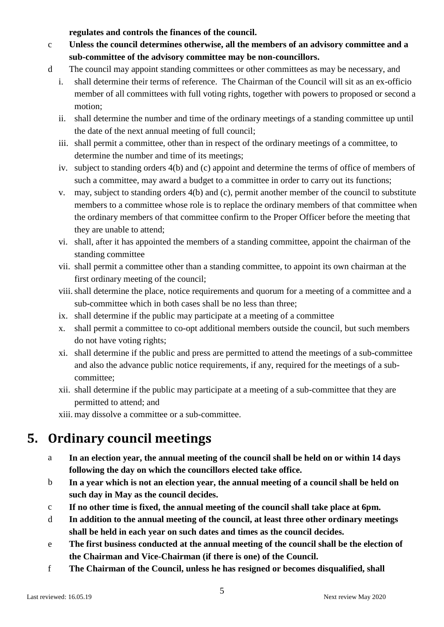**regulates and controls the finances of the council.**

- c **Unless the council determines otherwise, all the members of an advisory committee and a sub-committee of the advisory committee may be non-councillors.**
- d The council may appoint standing committees or other committees as may be necessary, and
	- i. shall determine their terms of reference. The Chairman of the Council will sit as an ex-officio member of all committees with full voting rights, together with powers to proposed or second a motion;
	- ii. shall determine the number and time of the ordinary meetings of a standing committee up until the date of the next annual meeting of full council;
	- iii. shall permit a committee, other than in respect of the ordinary meetings of a committee, to determine the number and time of its meetings;
	- iv. subject to standing orders 4(b) and (c) appoint and determine the terms of office of members of such a committee, may award a budget to a committee in order to carry out its functions;
	- v. may, subject to standing orders 4(b) and (c), permit another member of the council to substitute members to a committee whose role is to replace the ordinary members of that committee when the ordinary members of that committee confirm to the Proper Officer before the meeting that they are unable to attend;
	- vi. shall, after it has appointed the members of a standing committee, appoint the chairman of the standing committee
	- vii. shall permit a committee other than a standing committee, to appoint its own chairman at the first ordinary meeting of the council;
	- viii.shall determine the place, notice requirements and quorum for a meeting of a committee and a sub-committee which in both cases shall be no less than three;
	- ix. shall determine if the public may participate at a meeting of a committee
	- x. shall permit a committee to co-opt additional members outside the council, but such members do not have voting rights;
	- xi. shall determine if the public and press are permitted to attend the meetings of a sub-committee and also the advance public notice requirements, if any, required for the meetings of a subcommittee;
	- xii. shall determine if the public may participate at a meeting of a sub-committee that they are permitted to attend; and
	- xiii. may dissolve a committee or a sub-committee.

# <span id="page-6-0"></span>**5. Ordinary council meetings**

- a **In an election year, the annual meeting of the council shall be held on or within 14 days following the day on which the councillors elected take office.**
- b **In a year which is not an election year, the annual meeting of a council shall be held on such day in May as the council decides.**
- c **If no other time is fixed, the annual meeting of the council shall take place at 6pm.**
- d **In addition to the annual meeting of the council, at least three other ordinary meetings shall be held in each year on such dates and times as the council decides.**
- e **The first business conducted at the annual meeting of the council shall be the election of the Chairman and Vice-Chairman (if there is one) of the Council.**
- f **The Chairman of the Council, unless he has resigned or becomes disqualified, shall**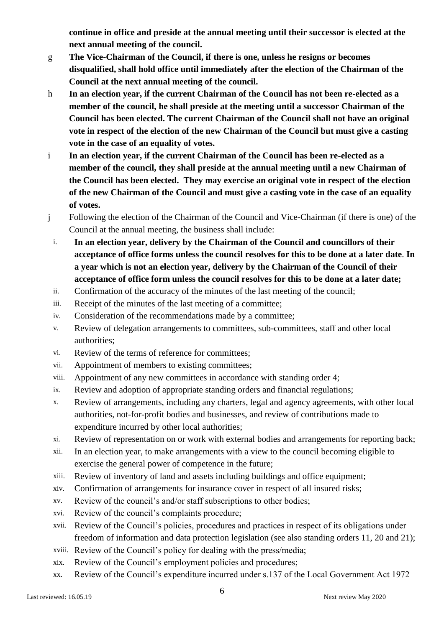**continue in office and preside at the annual meeting until their successor is elected at the next annual meeting of the council.** 

- g **The Vice-Chairman of the Council, if there is one, unless he resigns or becomes disqualified, shall hold office until immediately after the election of the Chairman of the Council at the next annual meeting of the council.**
- h **In an election year, if the current Chairman of the Council has not been re-elected as a member of the council, he shall preside at the meeting until a successor Chairman of the Council has been elected. The current Chairman of the Council shall not have an original vote in respect of the election of the new Chairman of the Council but must give a casting vote in the case of an equality of votes.**
- i **In an election year, if the current Chairman of the Council has been re-elected as a member of the council, they shall preside at the annual meeting until a new Chairman of the Council has been elected. They may exercise an original vote in respect of the election of the new Chairman of the Council and must give a casting vote in the case of an equality of votes.**
- j Following the election of the Chairman of the Council and Vice-Chairman (if there is one) of the Council at the annual meeting, the business shall include:
	- i. **In an election year, delivery by the Chairman of the Council and councillors of their acceptance of office forms unless the council resolves for this to be done at a later date**. **In a year which is not an election year, delivery by the Chairman of the Council of their acceptance of office form unless the council resolves for this to be done at a later date;**
	- ii. Confirmation of the accuracy of the minutes of the last meeting of the council;
	- iii. Receipt of the minutes of the last meeting of a committee;
	- iv. Consideration of the recommendations made by a committee;
	- v. Review of delegation arrangements to committees, sub-committees, staff and other local authorities;
	- vi. Review of the terms of reference for committees;
	- vii. Appointment of members to existing committees;
	- viii. Appointment of any new committees in accordance with standing order 4;
	- ix. Review and adoption of appropriate standing orders and financial regulations;
	- x. Review of arrangements, including any charters, legal and agency agreements, with other local authorities, not-for-profit bodies and businesses, and review of contributions made to expenditure incurred by other local authorities;
	- xi. Review of representation on or work with external bodies and arrangements for reporting back;
	- xii. In an election year, to make arrangements with a view to the council becoming eligible to exercise the general power of competence in the future;
	- xiii. Review of inventory of land and assets including buildings and office equipment;
	- xiv. Confirmation of arrangements for insurance cover in respect of all insured risks;
	- xv. Review of the council's and/or staff subscriptions to other bodies;
	- xvi. Review of the council's complaints procedure;
	- xvii. Review of the Council's policies, procedures and practices in respect of its obligations under freedom of information and data protection legislation (see also standing orders 11, 20 and 21);
	- xviii. Review of the Council's policy for dealing with the press/media;
	- xix. Review of the Council's employment policies and procedures;
	- xx. Review of the Council's expenditure incurred under s.137 of the Local Government Act 1972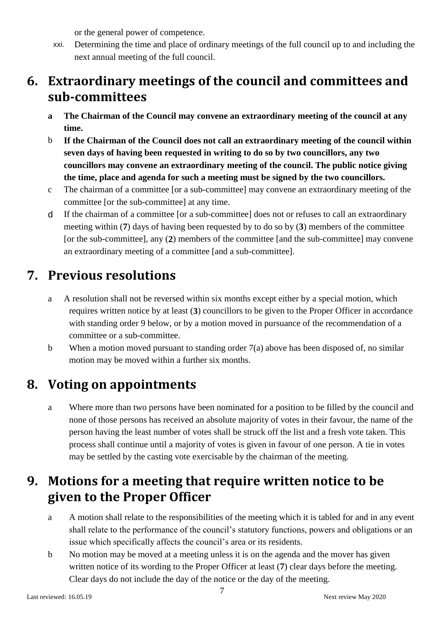or the general power of competence.

xxi. Determining the time and place of ordinary meetings of the full council up to and including the next annual meeting of the full council.

## <span id="page-8-0"></span>**6. Extraordinary meetings of the council and committees and sub-committees**

- **a The Chairman of the Council may convene an extraordinary meeting of the council at any time.**
- b **If the Chairman of the Council does not call an extraordinary meeting of the council within seven days of having been requested in writing to do so by two councillors, any two councillors may convene an extraordinary meeting of the council. The public notice giving the time, place and agenda for such a meeting must be signed by the two councillors.**
- c The chairman of a committee [or a sub-committee] may convene an extraordinary meeting of the committee [or the sub-committee] at any time.
- d If the chairman of a committee [or a sub-committee] does not or refuses to call an extraordinary meeting within (**7**) days of having been requested by to do so by (**3**) members of the committee [or the sub-committee], any (**2**) members of the committee [and the sub-committee] may convene an extraordinary meeting of a committee [and a sub-committee].

# <span id="page-8-1"></span>**7. Previous resolutions**

- a A resolution shall not be reversed within six months except either by a special motion, which requires written notice by at least (**3**) councillors to be given to the Proper Officer in accordance with standing order 9 below, or by a motion moved in pursuance of the recommendation of a committee or a sub-committee.
- b When a motion moved pursuant to standing order  $7(a)$  above has been disposed of, no similar motion may be moved within a further six months.

### <span id="page-8-2"></span>**8. Voting on appointments**

a Where more than two persons have been nominated for a position to be filled by the council and none of those persons has received an absolute majority of votes in their favour, the name of the person having the least number of votes shall be struck off the list and a fresh vote taken. This process shall continue until a majority of votes is given in favour of one person. A tie in votes may be settled by the casting vote exercisable by the chairman of the meeting.

## <span id="page-8-3"></span>**9. Motions for a meeting that require written notice to be given to the Proper Officer**

- a A motion shall relate to the responsibilities of the meeting which it is tabled for and in any event shall relate to the performance of the council's statutory functions, powers and obligations or an issue which specifically affects the council's area or its residents.
- b No motion may be moved at a meeting unless it is on the agenda and the mover has given written notice of its wording to the Proper Officer at least (**7**) clear days before the meeting. Clear days do not include the day of the notice or the day of the meeting.

7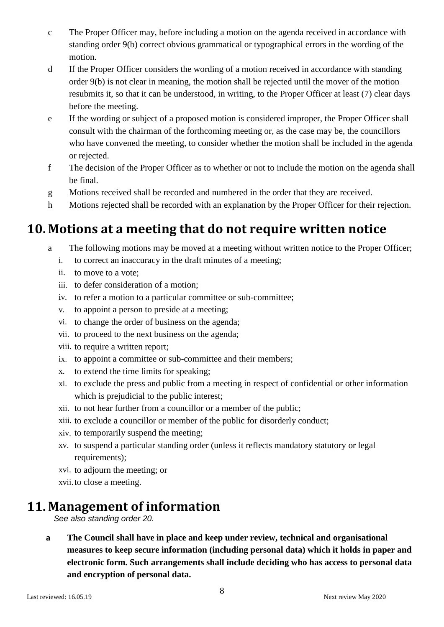- c The Proper Officer may, before including a motion on the agenda received in accordance with standing order 9(b) correct obvious grammatical or typographical errors in the wording of the motion.
- d If the Proper Officer considers the wording of a motion received in accordance with standing order 9(b) is not clear in meaning, the motion shall be rejected until the mover of the motion resubmits it, so that it can be understood, in writing, to the Proper Officer at least (7) clear days before the meeting.
- e If the wording or subject of a proposed motion is considered improper, the Proper Officer shall consult with the chairman of the forthcoming meeting or, as the case may be, the councillors who have convened the meeting, to consider whether the motion shall be included in the agenda or rejected.
- f The decision of the Proper Officer as to whether or not to include the motion on the agenda shall be final.
- g Motions received shall be recorded and numbered in the order that they are received.
- h Motions rejected shall be recorded with an explanation by the Proper Officer for their rejection.

## <span id="page-9-0"></span>**10. Motions at a meeting that do not require written notice**

- a The following motions may be moved at a meeting without written notice to the Proper Officer;
	- i. to correct an inaccuracy in the draft minutes of a meeting;
	- ii. to move to a vote;
	- iii. to defer consideration of a motion;
	- iv. to refer a motion to a particular committee or sub-committee;
	- v. to appoint a person to preside at a meeting;
	- vi. to change the order of business on the agenda;
	- vii. to proceed to the next business on the agenda;
	- viii. to require a written report;
	- ix. to appoint a committee or sub-committee and their members;
	- x. to extend the time limits for speaking;
	- xi. to exclude the press and public from a meeting in respect of confidential or other information which is prejudicial to the public interest;
	- xii. to not hear further from a councillor or a member of the public;
	- xiii. to exclude a councillor or member of the public for disorderly conduct;
	- xiv. to temporarily suspend the meeting;
	- xv. to suspend a particular standing order (unless it reflects mandatory statutory or legal requirements);
	- xvi. to adjourn the meeting; or
	- xvii.to close a meeting.

### <span id="page-9-1"></span>**11. Management of information**

*See also standing order 20.*

**a The Council shall have in place and keep under review, technical and organisational measures to keep secure information (including personal data) which it holds in paper and electronic form. Such arrangements shall include deciding who has access to personal data and encryption of personal data.**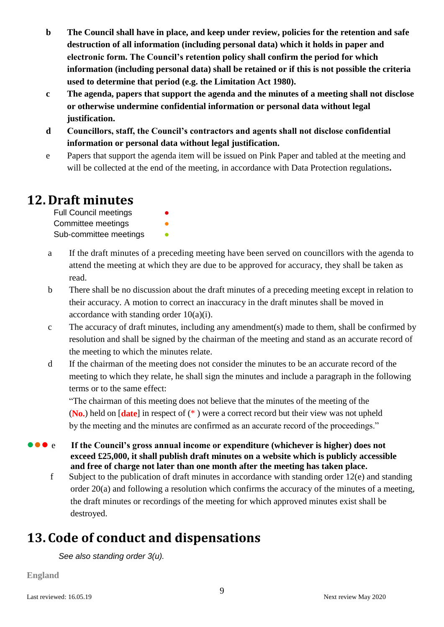- **b The Council shall have in place, and keep under review, policies for the retention and safe destruction of all information (including personal data) which it holds in paper and electronic form. The Council's retention policy shall confirm the period for which information (including personal data) shall be retained or if this is not possible the criteria used to determine that period (e.g. the Limitation Act 1980).**
- **c The agenda, papers that support the agenda and the minutes of a meeting shall not disclose or otherwise undermine confidential information or personal data without legal justification.**
- **d Councillors, staff, the Council's contractors and agents shall not disclose confidential information or personal data without legal justification.**
- e Papers that support the agenda item will be issued on Pink Paper and tabled at the meeting and will be collected at the end of the meeting, in accordance with Data Protection regulations**.**

### <span id="page-10-0"></span>**12. Draft minutes**

Full Council meetings Committee meetings **•** Sub-committee meetings

- a If the draft minutes of a preceding meeting have been served on councillors with the agenda to attend the meeting at which they are due to be approved for accuracy, they shall be taken as read.
- b There shall be no discussion about the draft minutes of a preceding meeting except in relation to their accuracy. A motion to correct an inaccuracy in the draft minutes shall be moved in accordance with standing order 10(a)(i).
- c The accuracy of draft minutes, including any amendment(s) made to them, shall be confirmed by resolution and shall be signed by the chairman of the meeting and stand as an accurate record of the meeting to which the minutes relate.
- d If the chairman of the meeting does not consider the minutes to be an accurate record of the meeting to which they relate, he shall sign the minutes and include a paragraph in the following terms or to the same effect:

"The chairman of this meeting does not believe that the minutes of the meeting of the (**No.**) held on [**date**] in respect of (\* ) were a correct record but their view was not upheld by the meeting and the minutes are confirmed as an accurate record of the proceedings."

- **•••** e If the Council's gross annual income or expenditure (whichever is higher) does not **exceed £25,000, it shall publish draft minutes on a website which is publicly accessible and free of charge not later than one month after the meeting has taken place.**
	- f Subject to the publication of draft minutes in accordance with standing order 12(e) and standing order 20(a) and following a resolution which confirms the accuracy of the minutes of a meeting, the draft minutes or recordings of the meeting for which approved minutes exist shall be destroyed.

# <span id="page-10-1"></span>**13. Code of conduct and dispensations**

*See also standing order 3(u).* 

**England**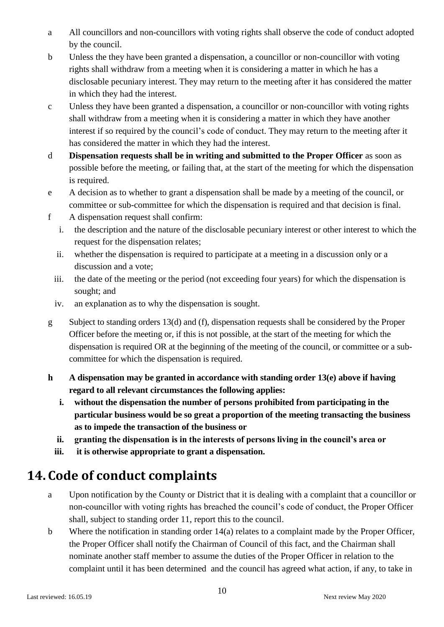- a All councillors and non-councillors with voting rights shall observe the code of conduct adopted by the council.
- b Unless the they have been granted a dispensation, a councillor or non-councillor with voting rights shall withdraw from a meeting when it is considering a matter in which he has a disclosable pecuniary interest. They may return to the meeting after it has considered the matter in which they had the interest.
- c Unless they have been granted a dispensation, a councillor or non-councillor with voting rights shall withdraw from a meeting when it is considering a matter in which they have another interest if so required by the council's code of conduct. They may return to the meeting after it has considered the matter in which they had the interest.
- d **Dispensation requests shall be in writing and submitted to the Proper Officer** as soon as possible before the meeting, or failing that, at the start of the meeting for which the dispensation is required.
- e A decision as to whether to grant a dispensation shall be made by a meeting of the council, or committee or sub-committee for which the dispensation is required and that decision is final.
- f A dispensation request shall confirm:
	- i. the description and the nature of the disclosable pecuniary interest or other interest to which the request for the dispensation relates;
	- ii. whether the dispensation is required to participate at a meeting in a discussion only or a discussion and a vote;
	- iii. the date of the meeting or the period (not exceeding four years) for which the dispensation is sought; and
	- iv. an explanation as to why the dispensation is sought.
- g Subject to standing orders 13(d) and (f), dispensation requests shall be considered by the Proper Officer before the meeting or, if this is not possible, at the start of the meeting for which the dispensation is required OR at the beginning of the meeting of the council, or committee or a subcommittee for which the dispensation is required.
- **h A dispensation may be granted in accordance with standing order 13(e) above if having regard to all relevant circumstances the following applies:**
	- **i. without the dispensation the number of persons prohibited from participating in the particular business would be so great a proportion of the meeting transacting the business as to impede the transaction of the business or**
	- **ii. granting the dispensation is in the interests of persons living in the council's area or**
	- **iii. it is otherwise appropriate to grant a dispensation.**

# <span id="page-11-0"></span>**14. Code of conduct complaints**

- a Upon notification by the County or District that it is dealing with a complaint that a councillor or non-councillor with voting rights has breached the council's code of conduct, the Proper Officer shall, subject to standing order 11, report this to the council.
- b Where the notification in standing order 14(a) relates to a complaint made by the Proper Officer, the Proper Officer shall notify the Chairman of Council of this fact, and the Chairman shall nominate another staff member to assume the duties of the Proper Officer in relation to the complaint until it has been determined and the council has agreed what action, if any, to take in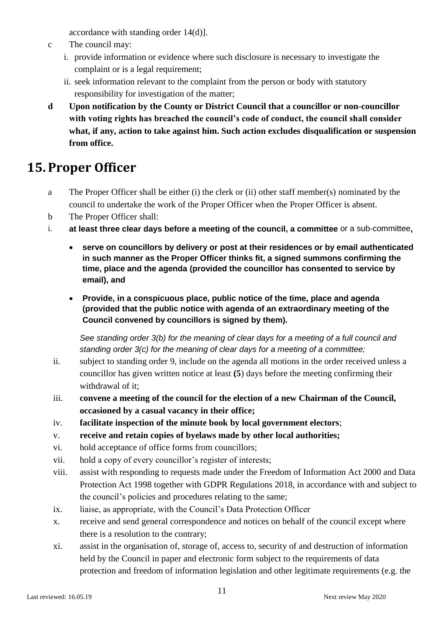accordance with standing order 14(d)].

- c The council may:
	- i. provide information or evidence where such disclosure is necessary to investigate the complaint or is a legal requirement;
	- ii. seek information relevant to the complaint from the person or body with statutory responsibility for investigation of the matter;
- **d Upon notification by the County or District Council that a councillor or non-councillor with voting rights has breached the council's code of conduct, the council shall consider what, if any, action to take against him. Such action excludes disqualification or suspension from office.**

## <span id="page-12-0"></span>**15. Proper Officer**

- a The Proper Officer shall be either (i) the clerk or (ii) other staff member(s) nominated by the council to undertake the work of the Proper Officer when the Proper Officer is absent.
- b The Proper Officer shall:
- i. **at least three clear days before a meeting of the council, a committee** or a sub-committee**,**
	- **serve on councillors by delivery or post at their residences or by email authenticated in such manner as the Proper Officer thinks fit, a signed summons confirming the time, place and the agenda (provided the councillor has consented to service by email), and**
	- **Provide, in a conspicuous place, public notice of the time, place and agenda (provided that the public notice with agenda of an extraordinary meeting of the Council convened by councillors is signed by them).**

*See standing order 3(b) for the meaning of clear days for a meeting of a full council and standing order 3(c) for the meaning of clear days for a meeting of a committee;*

- ii. subject to standing order 9, include on the agenda all motions in the order received unless a councillor has given written notice at least **(5**) days before the meeting confirming their withdrawal of it;
- iii. **convene a meeting of the council for the election of a new Chairman of the Council, occasioned by a casual vacancy in their office;**
- iv. **facilitate inspection of the minute book by local government electors**;
- v. **receive and retain copies of byelaws made by other local authorities;**
- vi. hold acceptance of office forms from councillors;
- vii. hold a copy of every councillor's register of interests;
- viii. assist with responding to requests made under the Freedom of Information Act 2000 and Data Protection Act 1998 together with GDPR Regulations 2018, in accordance with and subject to the council's policies and procedures relating to the same;
- ix. liaise, as appropriate, with the Council's Data Protection Officer
- x. receive and send general correspondence and notices on behalf of the council except where there is a resolution to the contrary;
- xi. assist in the organisation of, storage of, access to, security of and destruction of information held by the Council in paper and electronic form subject to the requirements of data protection and freedom of information legislation and other legitimate requirements (e.g. the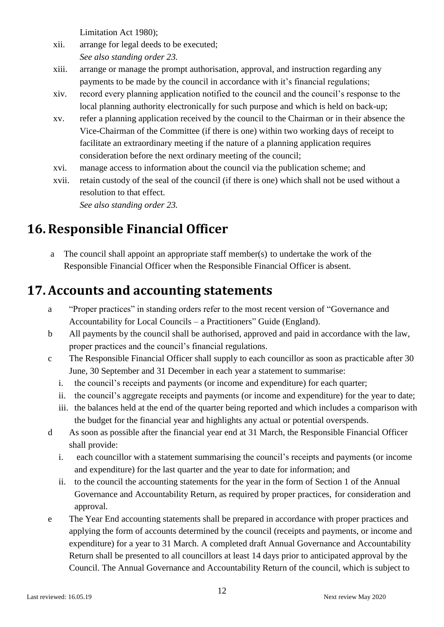Limitation Act 1980);

- xii. arrange for legal deeds to be executed; *See also standing order 23.*
- xiii. arrange or manage the prompt authorisation, approval, and instruction regarding any payments to be made by the council in accordance with it's financial regulations;
- xiv. record every planning application notified to the council and the council's response to the local planning authority electronically for such purpose and which is held on back-up;
- xv. refer a planning application received by the council to the Chairman or in their absence the Vice-Chairman of the Committee (if there is one) within two working days of receipt to facilitate an extraordinary meeting if the nature of a planning application requires consideration before the next ordinary meeting of the council;
- xvi. manage access to information about the council via the publication scheme; and
- xvii. retain custody of the seal of the council (if there is one) which shall not be used without a resolution to that effect.

*See also standing order 23.*

# <span id="page-13-0"></span>**16.Responsible Financial Officer**

a The council shall appoint an appropriate staff member(s) to undertake the work of the Responsible Financial Officer when the Responsible Financial Officer is absent.

### <span id="page-13-1"></span>**17.Accounts and accounting statements**

- a "Proper practices" in standing orders refer to the most recent version of "Governance and Accountability for Local Councils – a Practitioners" Guide (England).
- b All payments by the council shall be authorised, approved and paid in accordance with the law, proper practices and the council's financial regulations.
- c The Responsible Financial Officer shall supply to each councillor as soon as practicable after 30 June, 30 September and 31 December in each year a statement to summarise:
	- i. the council's receipts and payments (or income and expenditure) for each quarter;
	- ii. the council's aggregate receipts and payments (or income and expenditure) for the year to date;
	- iii. the balances held at the end of the quarter being reported and which includes a comparison with the budget for the financial year and highlights any actual or potential overspends.
- d As soon as possible after the financial year end at 31 March, the Responsible Financial Officer shall provide:
	- i. each councillor with a statement summarising the council's receipts and payments (or income and expenditure) for the last quarter and the year to date for information; and
	- ii. to the council the accounting statements for the year in the form of Section 1 of the Annual Governance and Accountability Return, as required by proper practices, for consideration and approval.
- e The Year End accounting statements shall be prepared in accordance with proper practices and applying the form of accounts determined by the council (receipts and payments, or income and expenditure) for a year to 31 March. A completed draft Annual Governance and Accountability Return shall be presented to all councillors at least 14 days prior to anticipated approval by the Council. The Annual Governance and Accountability Return of the council, which is subject to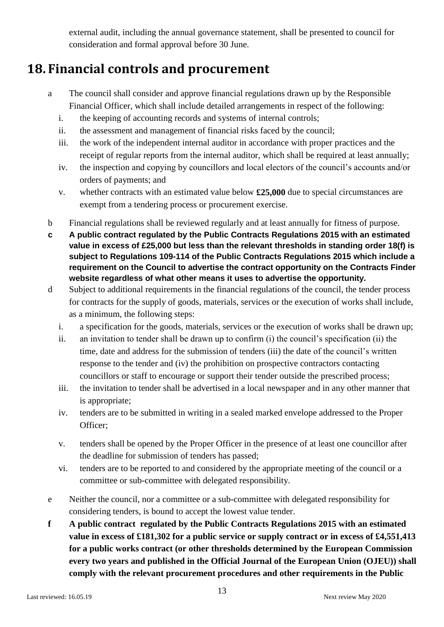external audit, including the annual governance statement, shall be presented to council for consideration and formal approval before 30 June.

## <span id="page-14-0"></span>**18. Financial controls and procurement**

- a The council shall consider and approve financial regulations drawn up by the Responsible Financial Officer, which shall include detailed arrangements in respect of the following:
	- i. the keeping of accounting records and systems of internal controls;
	- ii. the assessment and management of financial risks faced by the council;
	- iii. the work of the independent internal auditor in accordance with proper practices and the receipt of regular reports from the internal auditor, which shall be required at least annually;
	- iv. the inspection and copying by councillors and local electors of the council's accounts and/or orders of payments; and
	- v. whether contracts with an estimated value below **£25,000** due to special circumstances are exempt from a tendering process or procurement exercise.
- b Financial regulations shall be reviewed regularly and at least annually for fitness of purpose.
- **c A public contract regulated by the Public Contracts Regulations 2015 with an estimated value in excess of £25,000 but less than the relevant thresholds in standing order 18(f) is subject to Regulations 109-114 of the Public Contracts Regulations 2015 which include a requirement on the Council to advertise the contract opportunity on the Contracts Finder website regardless of what other means it uses to advertise the opportunity.**
- d Subject to additional requirements in the financial regulations of the council, the tender process for contracts for the supply of goods, materials, services or the execution of works shall include, as a minimum, the following steps:
	- i. a specification for the goods, materials, services or the execution of works shall be drawn up;
	- ii. an invitation to tender shall be drawn up to confirm (i) the council's specification (ii) the time, date and address for the submission of tenders (iii) the date of the council's written response to the tender and (iv) the prohibition on prospective contractors contacting councillors or staff to encourage or support their tender outside the prescribed process;
	- iii. the invitation to tender shall be advertised in a local newspaper and in any other manner that is appropriate;
	- iv. tenders are to be submitted in writing in a sealed marked envelope addressed to the Proper Officer;
	- v. tenders shall be opened by the Proper Officer in the presence of at least one councillor after the deadline for submission of tenders has passed;
	- vi. tenders are to be reported to and considered by the appropriate meeting of the council or a committee or sub-committee with delegated responsibility.
- e Neither the council, nor a committee or a sub-committee with delegated responsibility for considering tenders, is bound to accept the lowest value tender.
- **f A public contract regulated by the Public Contracts Regulations 2015 with an estimated value in excess of £181,302 for a public service or supply contract or in excess of £4,551,413 for a public works contract (or other thresholds determined by the European Commission every two years and published in the Official Journal of the European Union (OJEU)) shall comply with the relevant procurement procedures and other requirements in the Public**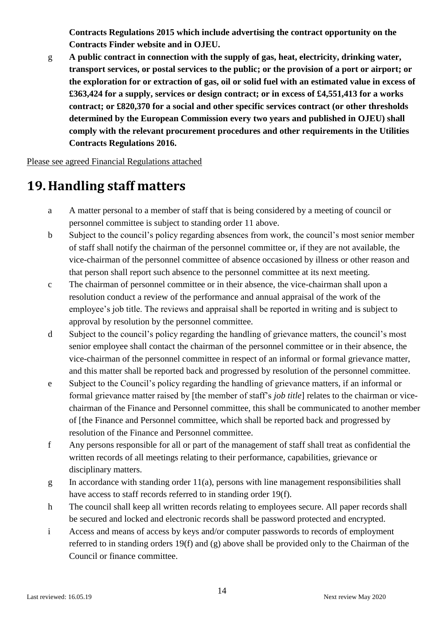**Contracts Regulations 2015 which include advertising the contract opportunity on the Contracts Finder website and in OJEU.**

g **A public contract in connection with the supply of gas, heat, electricity, drinking water, transport services, or postal services to the public; or the provision of a port or airport; or the exploration for or extraction of gas, oil or solid fuel with an estimated value in excess of £363,424 for a supply, services or design contract; or in excess of £4,551,413 for a works contract; or £820,370 for a social and other specific services contract (or other thresholds determined by the European Commission every two years and published in OJEU) shall comply with the relevant procurement procedures and other requirements in the Utilities Contracts Regulations 2016.**

Please see agreed Financial Regulations attached

### <span id="page-15-0"></span>**19. Handling staff matters**

- a A matter personal to a member of staff that is being considered by a meeting of council or personnel committee is subject to standing order 11 above.
- b Subject to the council's policy regarding absences from work, the council's most senior member of staff shall notify the chairman of the personnel committee or, if they are not available, the vice-chairman of the personnel committee of absence occasioned by illness or other reason and that person shall report such absence to the personnel committee at its next meeting.
- c The chairman of personnel committee or in their absence, the vice-chairman shall upon a resolution conduct a review of the performance and annual appraisal of the work of the employee's job title. The reviews and appraisal shall be reported in writing and is subject to approval by resolution by the personnel committee.
- d Subject to the council's policy regarding the handling of grievance matters, the council's most senior employee shall contact the chairman of the personnel committee or in their absence, the vice-chairman of the personnel committee in respect of an informal or formal grievance matter, and this matter shall be reported back and progressed by resolution of the personnel committee.
- e Subject to the Council's policy regarding the handling of grievance matters, if an informal or formal grievance matter raised by [the member of staff's *job title*] relates to the chairman or vicechairman of the Finance and Personnel committee, this shall be communicated to another member of [the Finance and Personnel committee, which shall be reported back and progressed by resolution of the Finance and Personnel committee.
- f Any persons responsible for all or part of the management of staff shall treat as confidential the written records of all meetings relating to their performance, capabilities, grievance or disciplinary matters.
- g In accordance with standing order 11(a), persons with line management responsibilities shall have access to staff records referred to in standing order 19(f).
- h The council shall keep all written records relating to employees secure. All paper records shall be secured and locked and electronic records shall be password protected and encrypted.
- i Access and means of access by keys and/or computer passwords to records of employment referred to in standing orders 19(f) and (g) above shall be provided only to the Chairman of the Council or finance committee.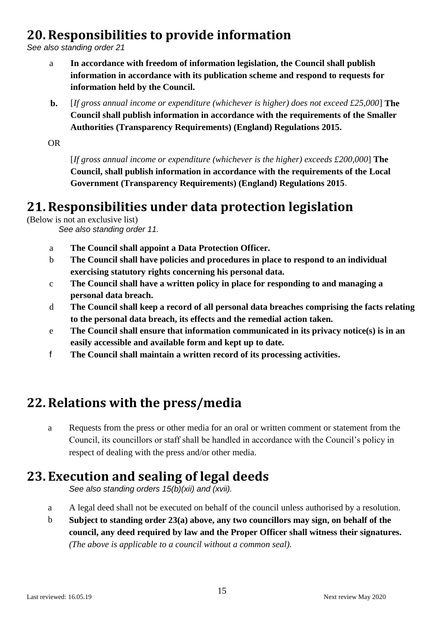### <span id="page-16-0"></span>**20.Responsibilities to provide information**

*See also standing order 21*

- a **In accordance with freedom of information legislation, the Council shall publish information in accordance with its publication scheme and respond to requests for information held by the Council.**
- **b.** [*If gross annual income or expenditure (whichever is higher) does not exceed £25,000*] **The Council shall publish information in accordance with the requirements of the Smaller Authorities (Transparency Requirements) (England) Regulations 2015.**

OR

[*If gross annual income or expenditure (whichever is the higher) exceeds £200,000*] **The Council, shall publish information in accordance with the requirements of the Local Government (Transparency Requirements) (England) Regulations 2015**.

### <span id="page-16-1"></span>**21.Responsibilities under data protection legislation**

(Below is not an exclusive list)

*See also standing order 11.*

- a **The Council shall appoint a Data Protection Officer.**
- b **The Council shall have policies and procedures in place to respond to an individual exercising statutory rights concerning his personal data.**
- c **The Council shall have a written policy in place for responding to and managing a personal data breach.**
- d **The Council shall keep a record of all personal data breaches comprising the facts relating to the personal data breach, its effects and the remedial action taken.**
- e **The Council shall ensure that information communicated in its privacy notice(s) is in an easily accessible and available form and kept up to date.**
- f **The Council shall maintain a written record of its processing activities.**

### <span id="page-16-2"></span>**22.Relations with the press/media**

a Requests from the press or other media for an oral or written comment or statement from the Council, its councillors or staff shall be handled in accordance with the Council's policy in respect of dealing with the press and/or other media.

### <span id="page-16-3"></span>**23. Execution and sealing of legal deeds**

*See also standing orders 15(b)(xii) and (xvii).*

- a A legal deed shall not be executed on behalf of the council unless authorised by a resolution.
- b **Subject to standing order 23(a) above, any two councillors may sign, on behalf of the council, any deed required by law and the Proper Officer shall witness their signatures.**  *(The above is applicable to a council without a common seal).*